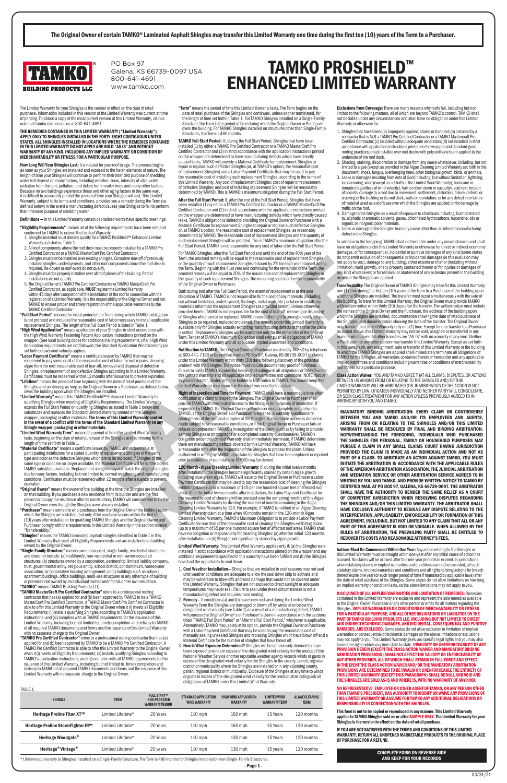**Exclusions from Coverage:** There are many reasons why roofs fail, including but not limited to the following matters, all of which are beyond TAMKO's control. TAMKO shall not be liable under any circumstances and shall have no obligation under this Limited Warranty or otherwise for:

- 1. Shingles that have been: (a) improperly applied, stored or handled; (b) installed by a contractor that is NOT a TAMKO Pro Certified Contractor or a TAMKO Mastercraft Pro Certified Contractor; (c) installed without adequate ventilation; (d) not installed in strict accordance with application instructions printed on the wrapper and standard good roofing practices; or (e) installed over roof decks with polyurethane foam applied to the underside of the roof deck.
- 2. Shading, staining, discoloration or damage from any cause whatsoever, including, but not limited to algae (except as provided in the Algae Cleaning Limited Warranty set forth in this
- document), moss, fungus, overhanging trees, other biological growth, birds, or animals. 3. Leaks or damages resulting from Acts of God (including, but without limitation, lightning, ice damming, wind (except as set forth in the Limited Wind Warranty), hurricane or tornado (regardless of wind velocity), hail, or other storm or casualty); acid rain; impact of objects; damage to a roof due to movement, settlement, distortion, failure, defects or cracking of the building or its roof deck, walls or foundation; or for any defect in or failure of material used as a roof base over which the Shingles are applied; or for damage by traffic on the roof.
- 4. Damage to the Shingles as a result of exposure to chemicals including, but not limited to, aliphatic or aromatic solvents, gases, chlorinated hydrocarbons, turpentine, oils or organic or inorganic polar materials.
- 5. Leaks or damage to the Shingles from any cause other than an inherent manufacturing defect in the Shingles.

In addition to the foregoing, TAMKO shall not be liable under any circumstances and shall have no obligation under this Limited Warranty or otherwise for direct or indirect economic damages, or for consequential, incidental or punitive damages of any kind (some states do not permit exclusion of consequential or incidental damages so this exclusion may not apply to you), damage to any building, either exterior or interior (including without limitation, mold growth), or any property contained therein or for injuries or damages of any kind whatsoever; or for removal or abatement of any asbestos present in the building on which the Shingles are applied.

Transferability: The Original Owner of TAMKO Shingles may transfer this Limited Warranty one (1) time during the first ten (10) years of the Term to a Purchaser of the building upon which the Shingles are installed. The transfer must occur simultaneously with the sale of the building. To transfer this Limited Warranty, the Original Owner must provide TAMKO with written notice within thirty (30) days after the transfer. The written notice must include the names of the Original Owner and the Purchaser, the address of the building upon which the Shingles are installed, documentation showing the date of retail purchase of the Shingles, and documentation showing the date of the transfer. The Original Owner may transfer this Limited Warranty only one (1) time. Except for one transfer to a Purchaser as stated above, this Limited Warranty may not be sold, assigned or transferred in any manner whatsoever. All other transfers are "AS-IS" with no warranty of any kind. Neither a Purchaser nor any other person may transfer this Limited Warranty. Except as set forth in this paragraph, any assignment, sale or transfer of this Limited Warranty or the building to which the TAMKO Shingles are applied shall immediately terminate all obligations of TAMKO for the Shingles, all warranties contained herein or hereunder and any applicable implied warranties and conditions including warranties or conditions of merchantability and fitness for a particular purpose.

Class Action Waiver: YOU AND TAMKO AGREE THAT ALL CLAIMS, DISPUTES, OR ACTIONS BETWEEN US ARISING FROM OR RELATING TO THE SHINGLES AND/OR THIS LIMITED WARRANTY WILL BE ARBITRATED (OR, IF ARBITRATION OF THE ACTION IS NOT PERMITTED BY LAW, LITIGATED) INDIVIDUALLY AND NEITHER PARTY WILL CONSOLIDATE, OR SEEK CLASS TREATMENT FOR ANY ACTION UNLESS PREVIOUSLY AGREED TO IN WRITING BY BOTH YOU AND TAMKO.

How Long Will Your Shingles Last: It is natural for your roof to age. The process begins as soon as your Shingles are installed and exposed to the harsh elements of nature. The length of time your Shingles will continue to perform their intended purpose of shedding water will depend on many factors, including weather, snow, intensity of ultra-violet radiation from the sun, pollution, and debris from nearby trees and many other factors. Because no two buildings experience these and other aging factors in the same way, it is difficult to accurately predict the period of time your Shingles will last. This Limited Warranty, subject to its terms and conditions, provides you a remedy during the Term (as defined below) in the event a manufacturing defect causes your Shingles to fail to perform their intended purpose of shedding water.

Definitions - In this Limited Warranty certain capitalized words have specific meanings:

Actions Must Be Commenced Within One Year: Any action relating to the Shingles or this Limited Warranty must be brought within one-year after any initial cause of action has accrued. No claims will be allowed after this one-year period has expired. In jurisdictions where statutory claims or implied warranties and conditions cannot be excluded, all such statutory claims, implied warranties and conditions and all rights to bring actions for breach pire one year (or such longer period of time if ma the date of retail purchase of the Shingles. Some states do not allow limitations on how long an implied warranty or condition lasts, so the above limitations may not apply to you. DISCLAIMER OF ALL IMPLIED WARRANTIES AND LIMITATION OF REMEDIES: Remedies contained in this Limited Warranty are exclusive and represent the sole remedies available to the Original Owner, Purchaser or any other person or entity for all matters regarding the<br>Shingles. **IMPLIED WARRANTIES OR CONDITIONS OF MERCHANTABILITY OR FITNESS** FOR A PARTICULAR PURPOSE, AND ALL OTHER OBLIGATIONS OR LIABILITIES ON THE PART OF TAMKO BUILDING PRODUCTS LLC, INCLUDING BUT NOT LIMITED TO DIRECT AND INDIRECT ECONOMIC DAMAGES, AND INCIDENTAL, CONSEQUENTIAL AND PUNITIVE DAMAGES, ARE EXCLUDED. Some states do not allow exclusion or limitation of implied warranties or consequential or incidental damages so the above limitations or exclusions may not apply to you. This Limited Warranty gives you specific legal rights and you may also have other rights which vary from state to state. **INVALIDITY OR UNENFORCEABILITY OF ANY** PROVISION HEREIN (EXCEPT THE CLASS ACTION WAIVER AND MANDATORY BINDING ARBITRATION PROVISIONS) SHALL NOT AFFECT THE VALIDITY OR ENFORCEABILITY OF ANY OTHER PROVISION, ALL OF WHICH SHALL REMAIN IN FULL FORCE AND EFFECT. IN THE EVENT THE CLASS ACTION WAIVER AND/OR THE MANDATORY ARBITRATION PROVISIONS ARE DETERMINED TO BE INVALID OR UNENFORCEABLE THE ENTIRETY OF THIS LIMITED WARRANTY (EXCEPT THIS PARAGRAPH) SHALL BE NULL AND VOID AND THE SHINGLES ARE SOLD AS-IS AND WHERE IS, WITH NO WARRANTY OF ANY KIND.

NO REPRESENTATIVE, EMPLOYEE OR OTHER AGENT OF TAMKO, OR ANY PERSON OTHER THAN TAMKO'S PRESIDENT, HAS AUTHORITY TO MODIFY OR WAIVE ANY PROVISIONS OF THIS LIMITED WARRANTY OR ASSUME FOR TAMKO ANY ADDITIONAL OBLIGATIONS OR RESPONSIBILITY IN CONNECTION WITH THE SHINGLES.

This form is not to be copied or reproduced in any manner. This Limited Warranty applies to TAMKO Shingles sold on or after SAMPLE ONLY. The Limited Warranty for your Shingles is the version in effect on the date of retail purchase.

- "Eligibility Requirements" means all of the following requirements have been met and confirmed for TAMKO to extend the Limited Warranty:
- 1. Shingles installed must already qualify for a TAMKO ProShield™ Enhanced Limited Warranty as listed on Table 1.
- 2. All roof components above the roof deck must be properly installed by a TAMKO Pro Certified Contractor or a TAMKO MasterCraft Pro Certified Contractor.
- 3. Shingles must not be installed over existing shingles. Complete tear-off of previously installed shingles, underlayments, and other roof components above the roof deck is required. Re-covers or roof-overs do not qualify.
- 4. Shingles must be properly installed over all roof planes of the building. Partial installations do not qualify.
- 5. The Original Owner's TAMKO Pro Certified Contractor or TAMKO MasterCraft Pro Certified Contractor, as applicable, **MUST** register the Limited Warranty within 45 days after completion of the installation of the roof in connection with the registration of a Limited Warranty. It is the responsibility of the Original Owner and not TAMKO to ensure proper and timely registration of the applicable warranties by the TAMKO Certified Contractor.
- "Full Start Period" means the initial period of the Term during which TAMKO's obligation is not prorated and includes the reasonable cost of labor necessary to install applicable replacement Shingles. The length of the Full Start Period is listed in Table 1.
- "High Wind Application" means application of your Shingles in strict accordance with the High Wind Warranty Fastening Pattern Application instructions printed on the wrapper. (See local building codes for additional nailing requirements.) If all High Wind Application requirements are not followed, the Standard Application Wind Warranty (as set forth below) wind velocity applies.
- "Labor Payment Certificate" means a certificate issued by TAMKO that may be redeemed to pay some or all of the reasonable cost of labor for roof repairs, cleaning algae from the roof, reasonable cost of tear-off, removal and disposal of defective Shingles, or replacement of any defective Shingles according to this Limited Warranty. Certificates must be redeemed within 12 months after issuance to prevent expiration.
- "Lifetime" means the period of time beginning with the date of retail purchase of the Shingles and continuing as long as the Original Owner or a Purchaser, as defined below, owns the building upon which the Shingles are installed.
- "Limited Warranty" means this TAMKO ProShield™ Enhanced Limited Warranty for qualifying Shingles when meeting all Eligibility Requirements. The Limited Warranty extends the Full Start Period on qualifying Shingles as stated in Table 1 below and substitutes and replaces the Standard Limited Warranty printed on the Shingles wrapper, packaging or other materials. **The terms of this Limited Warranty control**<br>**in the event of a conflict with the terms of the Standard Limited Warranty on any** Shingle wrapper, packaging or other materials.
- "Limited Wind Warranty Term" means the period of time the Limited Wind Warranty lasts, beginning on the date of retail purchase of the Shingles and continuing for the length of time set forth in Table 1.
- "Material Certificate" means a certificate issued by TAMKO and redeemable at participating distributors for a stated quantity of replacement Shingles of the same type and color as the defective Shingles which are to be replaced. If Shingles of the same type or color are no longer available, the Material Certificate will be for the closest TAMKO substitute available. Replacement shingles may not match the original shingles due to many factors, including but not limited to, normal weathering and manufacturing conditions. Certificates must be redeemed within 12 months after issuance to prevent expiration.
- "Original Owner" means the owner of the building at the time the Shingles are installed on that building. If you purchase a new residence from its builder and are the first person to occupy the residence after its construction, TAMKO will consider you to be the Original Owner even though the Shingles were already installed.
- "Purchaser" means someone who purchases from the Original Owner the building upon which the Shingles are installed, but only if the purchase occurs within the first ten (10) years after installation for qualifying TAMKO Shingles and the Original Owner and Purchaser comply with the requirements in this Limited Warranty in the section labeled "Transferability."
- "Shingles" means the TAMKO laminated asphalt shingles identified in Table 1 in this Limited Warranty that meet all Eligibility Requirements and are installed on a building owned by the Original Owner.
- "Single-Family Structure" means owner occupied, single family, residential structures and does not include: (a) multifamily, non-residential or non-owner-occupied structures; (b) structures owned by a corporation, partnership, limited liability company, trust, governmental entity, religious entity, school district, condominium, homeowner association, or cooperative housing arrangement; or (c) buildings such as schools,

apartment buildings, office buildings, multi-use structures or any other type of building or premises not owned by an individual homeowner for his or her own residence. "TAMKO" means TAMKO Building Products LLC.

> IF YOU ARE NOT SATISFIED WITH THE TERMS AND CONDITIONS OF THIS LIMITED WARRANTY, RETURN ALL UNOPENED MARKETABLE PRODUCTS TO THE ORIGINAL PLACE OF PURCHASE FOR A REFUND.

The Limited Warranty for your Shingles is the version in effect on the date of retail purchase. Information included in this version of the Limited Warranty was current at time of printing. To obtain a copy of the most current version of this Limited Warranty, visit us online at tamko.com or call us at 800-641-4691.

"TAMKO MasterCraft Pro Certified Contractor" refers to a professional roofing contractor that has (a) applied for and (b) been approved by TAMKO to be a TAMKO MasterCraft Pro Certified Contractor. A TAMKO MasterCraft Pro Certified Contractor is able to offer this Limited Warranty to the Original Owner when it (i) meets all Eligibility Requirements; (ii) installs qualifying Shingles according to TAMKO's application instructions; and (iii) complies with all TAMKO requirements for the issuance of this Limited Warranty, including but not limited to, timely completion and delivery to TAMKO of all required TAMKO documents and forms and the issuance of this Limited Warranty with no separate charge to the Original Owner.

THE REMEDIES CONTAINED IN THIS LIMITED WARRANTY ("Limited Warranty") APPLY ONLY TO SHINGLES INSTALLED IN THE FORTY-EIGHT CONTIGUOUS UNITED STATES. ALL SHINGLES INSTALLED IN LOCATIONS WHERE THE REMEDIES CONTAINED IN THIS LIMITED WARRANTY DO NOT APPLY ARE SOLD "AS IS" AND WITHOUT WARRANTY OF ANY KIND, INCLUDING ANY IMPLIED WARRANTY OR CONDITION OF MERCHANTABILITY OR FITNESS FOR A PARTICULAR PURPOSE.

"TAMKO Pro Certified Contractor" refers to a professional roofing contractor that has (a) applied for and (b) been approved by TAMKO to be a TAMKO Pro Certified Contractor. A TAMKO Pro Certified Contractor is able to offer this Limited Warranty to the Original Owner when it (i) meets all Eligibility Requirements; (ii) installs qualifying Shingles according to TAMKO's application instructions; and (iii) complies with all TAMKO requirements for the issuance of this Limited Warranty, including but not limited to, timely completion and delivery to TAMKO of all required TAMKO documents and forms and the issuance of this Limited Warranty with no separate charge to the Original Owner.

TAMKO Full Start Period: If, during the Full Start Period, Shingles that have been installed (1) by either a TAMKO Pro Certified Contractor or a TAMKO MasterCraft Pro Certified Contractor and (2) in strict accordance with the application instructions printed on the wrapper are determined to have manufacturing defects which have directly caused leaks, TAMKO will provide a Material Certificate for replacement Shingles to repair or replace such defective Shingles (or, at TAMKO's option, the reasonable cost of replacement Shingles) and a Labor Payment Certificate that may be used to pay the reasonable cost of installing such replacement Shingles, according to the terms of this Limited Warranty. Any cost of replacement Shingles; cost of repair or replacement of defective Shingles; and cost of installing replacement Shingles will be reasonably determined by TAMKO. This is TAMKO's maximum obligation during the Full Start Period.

After the Full Start Period: If, after the end of the Full Start Period, Shingles that have been installed (1) by either a TAMKO Pro Certified Contractor or a TAMKO MasterCraft Pro Certified Contractor and (2) in strict accordance with the application instructions printed on the wrapper are determined to have manufacturing defects which have directly caused leaks, TAMKO's obligation is limited to providing the Original Owner or Purchaser with a Material Certificate for replacement Shingles to repair or replace such defective Shingles or, at TAMKO's option, the reasonable cost of replacement Shingles, as reasonably determined by TAMKO. The reasonable cost of replacement Shingles and the quantity of such replacement Shingles will be prorated. This is TAMKO's maximum obligation after the Full Start Period. TAMKO is not responsible for any cost of labor after the Full Start Period.

State of discourses of discourses of discourses of discourses of discourses of discourses of the control of the control of the control of the control of the control of the control of the control of the control of the co Right of Inspection and Time for Payment: TAMKO shall have a reasonable time after notification of a claim to inspect the Shingles. The Original Owner or Purchaser shall provide TAMKO with reasonable access to the Shingles for purposes of inspection. If requested by TAMKO, the Original Owner or Purchaser must complete and deliver to TAMKO, at the Original Owner's or Purchaser's expense, a warranty questionnaire, photographs of the roof and samples of the Shingles. If reasonable access is denied or made subject to unreasonable conditions, or if the Original Owner or Purchaser fails or refuses to cooperate in TAMKO's investigation of the claim (such as by failing to provide sample Shingles or photographs or a completed warranty questionnaire), TAMKO's obligation under this Limited Warranty shall immediately terminate. If TAMKO determines there are manufacturing defects covered by this Limited Warranty, TAMKO will have a reasonable time after the inspection of the Shingles to process the claim. Unless authorized in writing by TAMKO, any claim for Shingles that have been replaced or repaired prior to resolution of your claim by TAMKO may be denied.

120 Month - Algae Cleaning Limited Warranty: If, during the initial twelve months after installation, the Shingles become significantly stained by certain algae growth, including blue-green algae, TAMKO will issue to the Original Owner or Purchaser a Labor Payment Certificate that may be used to pay the reasonable cost of cleaning the Shingles exhibiting stains (up to a maximum of \$15 per one hundred square feet of effected roof area). After the initial twelve months after installation, the Labor Payment Certificate for the reasonable cost of cleaning will be prorated over the remaining months of this Algae Cleaning Limited Warranty by dividing the number of months remaining in the Algae Cleaning Limited Warranty by 120. For example, if TAMKO is notified of an Algae Cleaning Limited Warranty claim at a time when 40 months remain in the 120-month Algae Cleaning Limited Warranty, TAMKO's Maximum Obligation is to provide a Labor Payment Certificate for one third of the reasonable cost of cleaning the Shingles exhibiting stains (up to a maximum of \$5 per one hundred square feet of affected roof area). TAMKO shall have no obligation or responsibility for cleaning Shingles: (a) after the initial 120 months after installation, or (b) Shingles not significantly stained by algae growth.

Limited Wind Warranty: This Limited Wind Warranty applies only if: (a) the Shingles were installed in strict accordance with application instructions printed on the wrapper and any additional requirements specified in this warranty have been fulfilled and (b) the Shingles have had the opportunity to seal down.

1. Cool Weather Installation— Shingles that are installed in cool seasons may not seal weather conditions are adequate to allow the seal down strip to activa

may be vulnerable to blow-offs and wind damage that would not be covered under this Limited Warranty. Shingles that are not exposed to direct sunlight or adequate temperatures may never seal. Failure to seal under these circumstances is not a manufacturing defect and requires hand sealing.

## TAMKO PROSHIELD™ ENHANCED LIMITED WARRANTY

"Term" means the period of time this Limited Warranty lasts. The Term begins on the date of retail purchase of the Shingles and continues, unless sooner terminated, for the length of time set forth in Table 1. For TAMKO Shingles installed on a Single-Family Structure, the Term is the period of time during which the Original Owner or Purchaser owns the building. For TAMKO Shingles installed on structures other than Single-Family Structures, the Term is 480 months.

For TAMKO Shingles, after the Full Start Period and until the end of the 40th year of the Term, the prorated remedy will be equal to the reasonable cost of replacement Shingles or the quantity of such replacement Shingles reduced by 2% for each year elapsed during the Term. Beginning with the 41st year and continuing for the remainder of the Term, the prorated remedy will be equal to 20% of the reasonable cost of replacement Shingles or the quantity of such replacement Shingles. The remaining cost shall be the responsibility of the Original Owner or Purchaser.

Both during and after the Full Start Period, the extent of replacement is at the sole discretion of TAMKO. TAMKO is not responsible for the cost of any materials (including, but without limitation, underlayment, flashings, metal work, etc.) or labor to install any materials other than the replacement Shingles (as provided herein). Unless otherwise provided herein, TAMKO is not responsible for the cost of tear-off, removing or disposing of Shingles which are to be replaced. TAMKO reserves the right to arrange directly for your Shingles to be repaired, replaced or cleaned. The remedy under this Limited Warranty is available only for Shingles actually exhibiting manufacturing defects at the time the claim is settled. Replacement Shingles will be warranted only for the remainder of the original Term. Tender of TAMKO's Maximum Obligation shall extinguish all obligations of TAMKO under this Limited Warranty and all applicable implied warranties and conditions.

Notification to TAMKO: The Original Owner or Purchaser must notify TAMKO by telephone at 800-441-7190 or by certified mail at PO Box 97, Galena, KS 66739-0097 of claims under this Limited Warranty within thirty (30) days following discovery of the potential problem with the Shingles. The notice must include documentary proof of Purchase. Failure to notify TAMKO as provided herein shall extinguish all obligations of TAMKO under this Limited Warranty and all applicable implied warranties and conditions. NOTE: Notice to your contractor, dealer, or home builder is NOT notice to TAMKO. You should keep this Limited Warranty for your records in the event you need to file a claim.

2. Remedy— If conditions (a) and (b) have been met and during the Limited Wind Warranty Term the Shingles are damaged or blown off by winds at or below the designated wind velocity (see Table 1) as a result of a manufacturing defect, TAMKO will process the Original Owner's or Purchaser's claim in accordance with the sections titled "TAMKO Full Start Period" or "After the Full Start Period," whichever is applicable. Alternatively, TAMKO may, solely at its option, provide the Original Owner or Purchaser with a Labor Payment Certificate that may be used to pay the reasonable cost of manually sealing unsealed Shingles and replacing Shingles which have blown off and a Material Certificate for the number of shingles that have blown off.

3. How is Wind Exposure Determined? Shingles will be conclusively deemed to have been exposed to winds in excess of the designated wind velocity for the product if the National Weather Service or other reputable weather agency records winds or gusts in excess of the designated wind velocity for the Shingles in the county, parish, regional district or municipality where the Shingles are installed or in any adjoining county, parish, regional district or municipality. Exposure of the Shingles at any time to winds or gusts in excess of the designated wind velocity for the product shall extinguish all obligations of TAMKO under this Limited Wind Warranty.

The Original Owner of certain TAMKO® Laminated Asphalt Shingles may transfer this Limited Warranty one time during the first ten (10) years of the Term to a Purchaser.



PO Box 97 Galena, KS 66739-0097 USA 800-641-4691 www.tamko.com

## COMPLETE FORM ON REVERSE SIDE AND KEEP FOR YOUR RECORDS

MANDATORY BINDING ARBITRATION: EVERY CLAIM OR CONTROVERSY BETWEEN YOU AND TAMKO AND/OR ITS EMPLOYEES AND AGENTS, ARISING FROM OR RELATING TO THE SHINGLES AND/OR THIS LIMITED WARRANTY SHALL BE RESOLVED BY FINAL AND BINDING ARBITRATION. NOTWITHSTANDING THE FOREGOING, INDIVIDUALS WHO PURCHASED THE SHINGLES FOR PERSONAL, FAMILY OR HOUSEHOLD PURPOSES MAY PURSUE A CLAIM IN ANY SMALL CLAIMS COURT HAVING JURISDICTION PROVIDED THE CLAIM IS MADE AS AN INDIVIDUAL ACTION AND NOT AS PART OF A CLASS. TO ARBITRATE AN ACTION AGAINST TAMKO, YOU MUST INITIATE THE ARBITRATION IN ACCORDANCE WITH THE APPLICABLE RULES OF THE AMERICAN ARBITRATION ASSOCIATION, THE JUDICIAL ARBITRATION AND MEDIATION SERVICE OR OTHER ARBITRATION SERVICE AGREED TO IN WRITING BY YOU AND TAMKO, AND PROVIDE WRITTEN NOTICE TO TAMKO BY CERTIFIED MAIL AT PO BOX 97, GALENA, KS 66739-0097. THE ARBITRATOR SHALL HAVE THE AUTHORITY TO RENDER THE SAME RELIEF AS A COURT OF COMPETENT JURISDICTION WHEN RESOLVING DISPUTES REGARDING THE SHINGLES AND/OR THIS LIMITED WARRANTY. THE ARBITRATOR SHALL HAVE EXCLUSIVE AUTHORITY TO RESOLVE ANY DISPUTE RELATING TO THE INTERPRETATION, APPLICABILITY, ENFORCEABILITY OR FORMATION OF THIS AGREEMENT, INCLUDING, BUT NOT LIMITED TO ANY CLAIM THAT ALL OR ANY PART OF THIS AGREEMENT IS VOID OR VOIDABLE. WHEN ALLOWED BY THE RULES OF ARBITRATION, THE PREVAILING PARTY SHALL BE ENTITLED TO RECOVER ITS COSTS AND REASONABLE ATTORNEY'S FEES.

TABLE 1.

| <b>SHINGLE</b>                                                                                                                                             | <b>TERM</b>       | <b>FULL START™</b><br><b>NON-PRORATED</b><br><b>WARRANTY PERIOD</b> | <b>STANDARD APPLICATION</b><br><b>WIND WARRANTY</b> | <b>HIGH WIND APPLICATION</b><br><b>WARRANTY</b> | <b>LIMITED WIND</b><br><b>WARRANTYTERM</b> | <b>ALGAE CLEANING</b><br><b>TERM</b> |  |
|------------------------------------------------------------------------------------------------------------------------------------------------------------|-------------------|---------------------------------------------------------------------|-----------------------------------------------------|-------------------------------------------------|--------------------------------------------|--------------------------------------|--|
| Heritage Proline Titan XT™                                                                                                                                 | Limited Lifetime* | 20 Years                                                            | $110$ mph                                           | $160$ mph                                       | 15 Years                                   | 120 months                           |  |
| Heritage Proline StormFighter IR™                                                                                                                          | Limited Lifetime* | 20 Years                                                            | $110$ mph                                           | $160$ mph                                       | 15 Years                                   | 120 months                           |  |
| <b>Heritage Woodgate®</b>                                                                                                                                  | Limited Lifetime* | 20 Years                                                            | $110$ mph                                           | $130$ mph                                       | 15 Years                                   | 120 months                           |  |
| Heritage® Vintage®                                                                                                                                         | Limited Lifetime* | 20 years                                                            | $110$ mph                                           | $130$ mph                                       | 15 years                                   | 120 months                           |  |
| * Lifetime applies only to Shingles installed on a Single-Family Structure. The Term is 480 months for Shingles installed on non-Single-Family Structures. |                   |                                                                     |                                                     |                                                 |                                            |                                      |  |